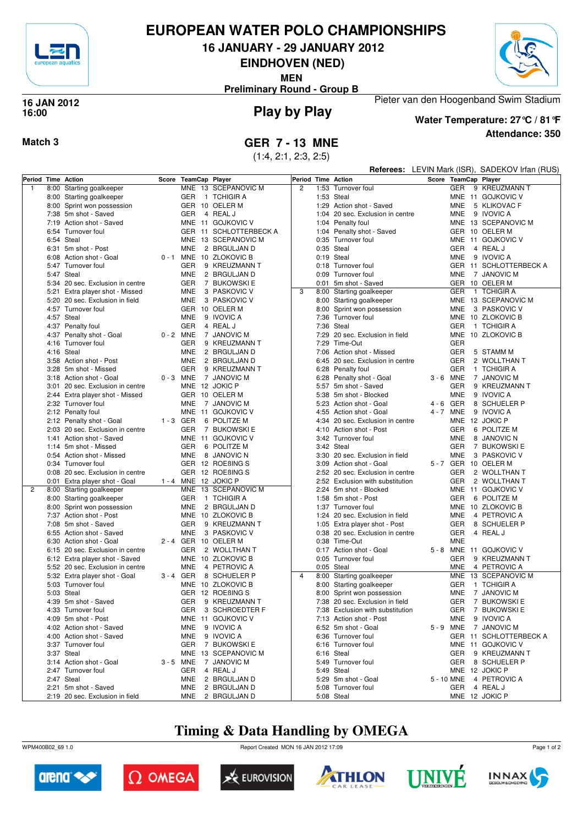

# **EUROPEAN WATER POLO CHAMPIONSHIPS**

**16 JANUARY - 29 JANUARY 2012**

**EINDHOVEN (NED)**

**MEN**

**Preliminary Round - Group B**



#### **Play by Play 16 JAN 2012 16:00**



# **Water Temperature: 27°C / 81°F**

Pieter van den Hoogenband Swim Stadium

**Attendance: 350**

**Match 3 GER 7 - 13 MNE**

(1:4, 2:1, 2:3, 2:5)

|                    |                                                |             |                      |                              |                | <b>Referees:</b> LEVIN Mark (ISR), SADEKOV Irfan (RUS) |                                                  |                          |                           |
|--------------------|------------------------------------------------|-------------|----------------------|------------------------------|----------------|--------------------------------------------------------|--------------------------------------------------|--------------------------|---------------------------|
| Period Time Action |                                                |             | Score TeamCap Player |                              |                |                                                        | Period Time Action                               | Score TeamCap Player     |                           |
| $\overline{1}$     | 8:00 Starting goalkeeper                       |             |                      | MNE 13 SCEPANOVIC M          | $\overline{c}$ |                                                        | 1:53 Turnover foul                               | <b>GER</b>               | 9 KREUZMANN T             |
|                    | 8:00 Starting goalkeeper                       |             | GER                  | 1 TCHIGIR A                  |                |                                                        | 1:53 Steal                                       |                          | MNE 11 GOJKOVIC V         |
|                    | 8:00 Sprint won possession                     |             |                      | GER 10 OELER M               |                |                                                        | 1:29 Action shot - Saved                         | <b>MNE</b>               | 5 KLIKOVAC F              |
|                    | 7:38 5m shot - Saved                           |             | <b>GER</b>           | 4 REAL J                     |                |                                                        | 1:04 20 sec. Exclusion in centre                 | <b>MNE</b>               | 9 IVOVIC A                |
|                    | 7:19 Action shot - Saved                       |             |                      | MNE 11 GOJKOVIC V            |                |                                                        | 1:04 Penalty foul                                |                          | MNE 13 SCEPANOVIC M       |
|                    | 6:54 Turnover foul                             |             |                      | GER 11 SCHLOTTERBECK A       |                |                                                        | 1:04 Penalty shot - Saved                        |                          | GER 10 OELER M            |
|                    | 6:54 Steal                                     |             |                      | MNE 13 SCEPANOVIC M          |                |                                                        | 0:35 Turnover foul                               |                          | MNE 11 GOJKOVIC V         |
|                    | 6:31 5m shot - Post                            |             | <b>MNE</b>           | 2 BRGULJAN D                 |                |                                                        | $0:35$ Steal                                     | <b>GER</b>               | 4 REAL J                  |
|                    | 6:08 Action shot - Goal                        |             |                      | 0 - 1 MNE 10 ZLOKOVIC B      |                |                                                        | 0:19 Steal                                       | <b>MNE</b>               | 9 IVOVIC A                |
|                    | 5:47 Turnover foul                             |             | GER                  | 9 KREUZMANN T                |                |                                                        | 0:18 Turnover foul                               |                          | GER 11 SCHLOTTERBECK A    |
|                    | 5:47 Steal                                     |             | <b>MNE</b>           | 2 BRGULJAN D                 |                |                                                        | 0:09 Turnover foul                               | <b>MNE</b>               | 7 JANOVIC M               |
|                    | 5:34 20 sec. Exclusion in centre               |             | GER                  | 7 BUKOWSKI E                 |                |                                                        | 0:01 5m shot - Saved                             |                          | GER 10 OELER M            |
|                    | 5:21 Extra player shot - Missed                |             | <b>MNE</b>           | 3 PASKOVIC V                 | 3              |                                                        | 8:00 Starting goalkeeper                         | <b>GER</b>               | 1 TCHIGIR A               |
|                    | 5:20 20 sec. Exclusion in field                |             | <b>MNE</b>           | 3 PASKOVIC V                 |                |                                                        | 8:00 Starting goalkeeper                         |                          | MNE 13 SCEPANOVIC M       |
|                    | 4:57 Turnover foul                             |             |                      | GER 10 OELER M               |                |                                                        | 8:00 Sprint won possession                       | <b>MNE</b>               | 3 PASKOVIC V              |
|                    | 4:57 Steal                                     |             | <b>MNE</b>           | 9 IVOVIC A                   |                |                                                        | 7:36 Turnover foul                               |                          | MNE 10 ZLOKOVIC B         |
|                    |                                                |             | GER                  | 4 REAL J                     |                |                                                        | 7:36 Steal                                       | <b>GER</b>               | 1 TCHIGIR A               |
|                    | 4:37 Penalty foul                              |             |                      |                              |                |                                                        |                                                  |                          |                           |
|                    | 4:37 Penalty shot - Goal<br>4:16 Turnover foul |             | 0-2 MNE<br>GER       | 7 JANOVIC M<br>9 KREUZMANN T |                |                                                        | 7:29 20 sec. Exclusion in field<br>7:29 Time-Out | <b>GER</b>               | MNE 10 ZLOKOVIC B         |
|                    |                                                |             |                      |                              |                |                                                        |                                                  |                          |                           |
|                    | 4:16 Steal                                     |             | <b>MNE</b>           | 2 BRGULJAN D<br>2 BRGULJAN D |                | 7:06                                                   | Action shot - Missed                             | <b>GER</b><br><b>GER</b> | 5 STAMM M<br>2 WOLLTHAN T |
|                    | 3:58 Action shot - Post                        |             | <b>MNE</b>           |                              |                |                                                        | 6:45 20 sec. Exclusion in centre                 |                          |                           |
|                    | 3:28 5m shot - Missed                          |             | <b>GER</b>           | 9 KREUZMANN T                |                |                                                        | 6:28 Penalty foul                                | <b>GER</b>               | 1 TCHIGIR A               |
|                    | 3:18 Action shot - Goal                        |             | 0-3 MNE              | 7 JANOVIC M                  |                |                                                        | 6:28 Penalty shot - Goal                         | 3-6 MNE                  | 7 JANOVIC M               |
|                    | 3:01 20 sec. Exclusion in centre               |             | MNE 12 JOKIC P       |                              |                |                                                        | 5:57 5m shot - Saved                             | <b>GER</b>               | 9 KREUZMANN T             |
|                    | 2:44 Extra player shot - Missed                |             |                      | GER 10 OELER M               |                |                                                        | 5:38 5m shot - Blocked                           | <b>MNE</b>               | 9 IVOVIC A                |
|                    | 2:32 Turnover foul                             |             | <b>MNE</b>           | 7 JANOVIC M                  |                |                                                        | 5:23 Action shot - Goal                          | 4-6 GER                  | 8 SCHUELER P              |
|                    | 2:12 Penalty foul                              |             |                      | MNE 11 GOJKOVIC V            |                |                                                        | 4:55 Action shot - Goal                          | 4 - 7 MNE                | 9 IVOVIC A                |
|                    | 2:12 Penalty shot - Goal                       | $1 - 3$ GER |                      | 6 POLITZE M                  |                |                                                        | 4:34 20 sec. Exclusion in centre                 |                          | MNE 12 JOKIC P            |
|                    | 2:03 20 sec. Exclusion in centre               |             | GER                  | 7 BUKOWSKI E                 |                |                                                        | 4:10 Action shot - Post                          | <b>GER</b>               | 6 POLITZE M               |
|                    | 1:41 Action shot - Saved                       |             | MNE                  | 11 GOJKOVIC V                |                |                                                        | 3:42 Turnover foul                               | <b>MNE</b>               | 8 JANOVIC N               |
|                    | 1:14 5m shot - Missed                          |             | GER                  | 6 POLITZE M                  |                |                                                        | 3:42 Steal                                       | <b>GER</b>               | 7 BUKOWSKI E              |
|                    | 0:54 Action shot - Missed                      |             | <b>MNE</b>           | 8 JANOVIC N                  |                |                                                        | 3:30 20 sec. Exclusion in field                  | <b>MNE</b>               | 3 PASKOVIC V              |
|                    | 0:34 Turnover foul                             |             |                      | GER 12 ROEBING S             |                |                                                        | 3:09 Action shot - Goal                          |                          | 5 - 7 GER 10 OELER M      |
|                    | 0:08 20 sec. Exclusion in centre               |             |                      | GER 12 ROEBING S             |                |                                                        | 2:52 20 sec. Exclusion in centre                 | <b>GER</b>               | 2 WOLLTHAN T              |
|                    | 0:01 Extra player shot - Goal                  |             | 1 - 4 MNE 12 JOKIC P |                              |                |                                                        | 2:52 Exclusion with substitution                 | <b>GER</b>               | 2 WOLLTHAN T              |
| $\overline{2}$     | 8:00 Starting goalkeeper                       |             |                      | MNE 13 SCEPANOVIC M          |                |                                                        | 2:24 5m shot - Blocked                           |                          | MNE 11 GOJKOVIC V         |
|                    | 8:00 Starting goalkeeper                       |             | <b>GER</b>           | 1 TCHIGIR A                  |                |                                                        | 1:58 5m shot - Post                              | <b>GER</b>               | 6 POLITZE M               |
|                    | 8:00 Sprint won possession                     |             | <b>MNE</b>           | 2 BRGULJAN D                 |                |                                                        | 1:37 Turnover foul                               |                          | MNE 10 ZLOKOVIC B         |
|                    | 7:37 Action shot - Post                        |             |                      | MNE 10 ZLOKOVIC B            |                |                                                        | 1:24 20 sec. Exclusion in field                  | <b>MNE</b>               | 4 PETROVIC A              |
|                    | 7:08 5m shot - Saved                           |             | <b>GER</b>           | 9 KREUZMANN T                |                |                                                        | 1:05 Extra player shot - Post                    | <b>GER</b>               | 8 SCHUELER P              |
|                    | 6:55 Action shot - Saved                       |             | MNE                  | 3 PASKOVIC V                 |                |                                                        | 0:38 20 sec. Exclusion in centre                 | <b>GER</b>               | 4 REAL J                  |
|                    | 6:30 Action shot - Goal                        |             |                      | 2 - 4 GER 10 OELER M         |                |                                                        | 0:38 Time-Out                                    | <b>MNE</b>               |                           |
|                    | 6:15 20 sec. Exclusion in centre               |             | GER                  | 2 WOLLTHAN T                 |                |                                                        | 0:17 Action shot - Goal                          |                          | 5 - 8 MNE 11 GOJKOVIC V   |
|                    | 6:12 Extra player shot - Saved                 |             |                      | MNE 10 ZLOKOVIC B            |                |                                                        | 0:05 Turnover foul                               | GER                      | 9 KREUZMANN T             |
|                    | 5:52 20 sec. Exclusion in centre               |             | <b>MNE</b>           | 4 PETROVIC A                 |                |                                                        | 0:05 Steal                                       | <b>MNE</b>               | 4 PETROVIC A              |
|                    | 5:32 Extra player shot - Goal                  |             | 3-4 GER              | 8 SCHUELER P                 | $\overline{4}$ |                                                        | 8:00 Starting goalkeeper                         |                          | MNE 13 SCEPANOVIC M       |
|                    | 5:03 Turnover foul                             |             |                      | MNE 10 ZLOKOVIC B            |                |                                                        | 8:00 Starting goalkeeper                         | <b>GER</b>               | 1 TCHIGIR A               |
|                    | 5:03 Steal                                     |             |                      | GER 12 ROEBING S             |                |                                                        | 8:00 Sprint won possession                       | MNE                      | 7 JANOVIC M               |
|                    | 4:39 5m shot - Saved                           |             | GER                  | 9 KREUZMANN T                |                |                                                        | 7:38 20 sec. Exclusion in field                  |                          | GER 7 BUKOWSKI E          |
|                    | 4:33 Turnover foul                             |             | GER                  | 3 SCHROEDTER F               |                |                                                        | 7:38 Exclusion with substitution                 |                          | GER 7 BUKOWSKI E          |
|                    | 4:09 5m shot - Post                            |             |                      | MNE 11 GOJKOVIC V            |                |                                                        | 7:13 Action shot - Post                          | <b>MNE</b>               | 9 IVOVIC A                |
|                    | 4:02 Action shot - Saved                       |             | <b>MNE</b>           | 9 IVOVIC A                   |                |                                                        | 6:52 5m shot - Goal                              | 5-9 MNE                  | 7 JANOVIC M               |
|                    | 4:00 Action shot - Saved                       |             | MNE                  | 9 IVOVIC A                   |                |                                                        | 6:36 Turnover foul                               |                          | GER 11 SCHLOTTERBECK A    |
|                    | 3:37 Turnover foul                             |             | GER                  | 7 BUKOWSKI E                 |                |                                                        | 6:16 Turnover foul                               |                          | MNE 11 GOJKOVIC V         |
|                    | 3:37 Steal                                     |             |                      | MNE 13 SCEPANOVIC M          |                |                                                        | 6:16 Steal                                       | GER                      | 9 KREUZMANN T             |
|                    | 3:14 Action shot - Goal                        |             | 3 - 5 MNE            | 7 JANOVIC M                  |                |                                                        | 5:49 Turnover foul                               | GER                      | 8 SCHUELER P              |
|                    | 2:47 Turnover foul                             |             | GER                  | 4 REAL J                     |                |                                                        | 5:49 Steal                                       |                          | MNE 12 JOKIC P            |
|                    | 2:47 Steal                                     |             | <b>MNE</b>           | 2 BRGULJAN D                 |                |                                                        | 5:29 5m shot - Goal                              | 5 - 10 MNE               | 4 PETROVIC A              |
|                    | 2:21 5m shot - Saved                           |             | MNE                  | 2 BRGULJAN D                 |                |                                                        | 5:08 Turnover foul                               |                          | GER 4 REAL J              |
|                    | 2:19 20 sec. Exclusion in field                |             |                      | MNE 2 BRGULJAN D             |                |                                                        | 5:08 Steal                                       |                          | MNE 12 JOKIC P            |

# **Timing & Data Handling by OMEGA**

WPM400B02\_69 1.0 Report Created MON 16 JAN 2012 17:09













Page 1 of 2